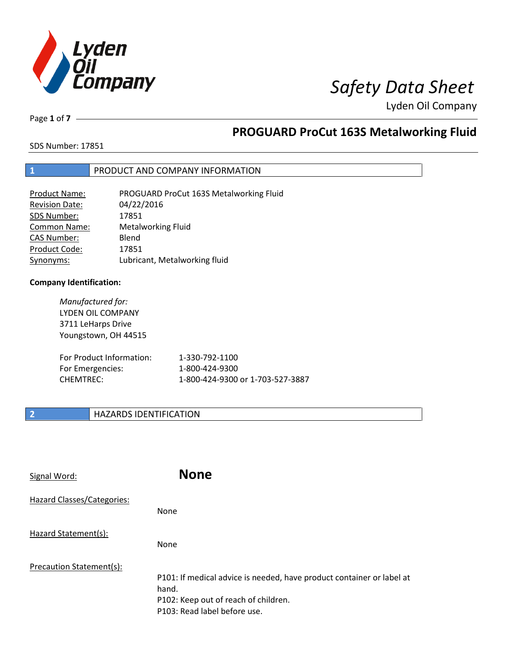

Page **1** of **7**

# **PROGUARD ProCut 163S Metalworking Fluid**

SDS Number: 17851

### **1** PRODUCT AND COMPANY INFORMATION

| <b>Product Name:</b>  | PROGUARD ProCut 163S Metalworking Fluid |
|-----------------------|-----------------------------------------|
| <b>Revision Date:</b> | 04/22/2016                              |
| SDS Number:           | 17851                                   |
| <b>Common Name:</b>   | <b>Metalworking Fluid</b>               |
| <b>CAS Number:</b>    | Blend                                   |
| Product Code:         | 17851                                   |
| Synonyms:             | Lubricant, Metalworking fluid           |

### **Company Identification:**

*Manufactured for:* LYDEN OIL COMPANY 3711 LeHarps Drive Youngstown, OH 44515 For Product Information: 1-330-792-1100 For Emergencies: 1-800-424-9300 CHEMTREC: 1-800-424-9300 or 1-703-527-3887

### **2 HAZARDS IDENTIFICATION**

| Signal Word:                      | <b>None</b>                                                                                                                                            |
|-----------------------------------|--------------------------------------------------------------------------------------------------------------------------------------------------------|
| <b>Hazard Classes/Categories:</b> | None                                                                                                                                                   |
| Hazard Statement(s):              | None                                                                                                                                                   |
| Precaution Statement(s):          | P101: If medical advice is needed, have product container or label at<br>hand.<br>P102: Keep out of reach of children.<br>P103: Read label before use. |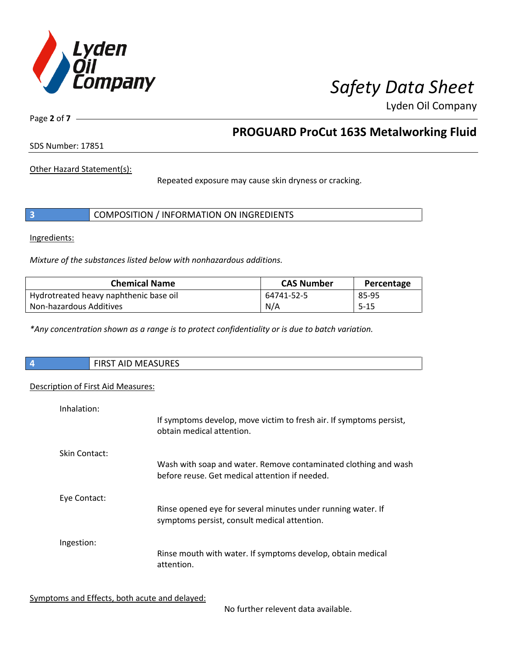

Page **2** of **7**

## **PROGUARD ProCut 163S Metalworking Fluid**

SDS Number: 17851

Other Hazard Statement(s):

Repeated exposure may cause skin dryness or cracking.

|  | COMPOSITION / INFORMATION ON INGREDIENTS |
|--|------------------------------------------|
|--|------------------------------------------|

Ingredients:

*Mixture of the substances listed below with nonhazardous additions.*

| <b>Chemical Name</b>                   | <b>CAS Number</b> | Percentage |
|----------------------------------------|-------------------|------------|
| Hydrotreated heavy naphthenic base oil | 64741-52-5        | 85-95      |
| Non-hazardous Additives                | N/A               | $5 - 15$   |

*\*Any concentration shown as a range is to protect confidentiality or is due to batch variation.*

| <b>MEASURES</b><br><b>AID</b><br><b>FIRST</b> |
|-----------------------------------------------|
|                                               |

### Description of First Aid Measures:

| Inhalation:   | If symptoms develop, move victim to fresh air. If symptoms persist,<br>obtain medical attention.                  |
|---------------|-------------------------------------------------------------------------------------------------------------------|
| Skin Contact: | Wash with soap and water. Remove contaminated clothing and wash<br>before reuse. Get medical attention if needed. |
| Eye Contact:  | Rinse opened eye for several minutes under running water. If<br>symptoms persist, consult medical attention.      |
| Ingestion:    | Rinse mouth with water. If symptoms develop, obtain medical<br>attention.                                         |

Symptoms and Effects, both acute and delayed:

No further relevent data available.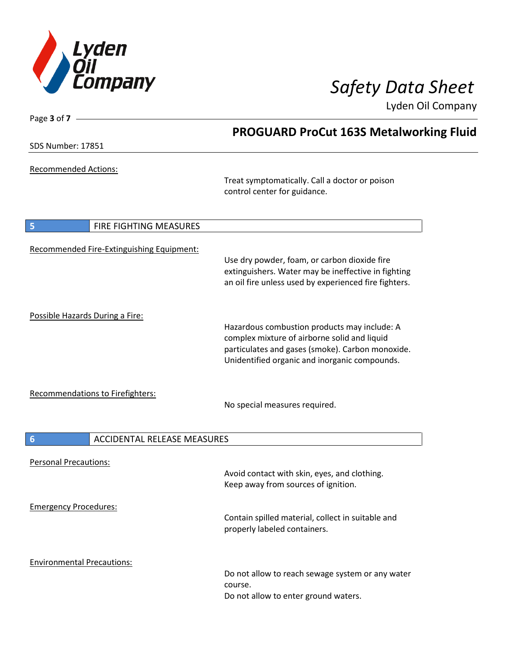

| Page 3 of $7 -$                                       |                                                                                                                                                                                                   |
|-------------------------------------------------------|---------------------------------------------------------------------------------------------------------------------------------------------------------------------------------------------------|
|                                                       | <b>PROGUARD ProCut 163S Metalworking Fluid</b>                                                                                                                                                    |
| <b>SDS Number: 17851</b>                              |                                                                                                                                                                                                   |
| <b>Recommended Actions:</b>                           | Treat symptomatically. Call a doctor or poison<br>control center for guidance.                                                                                                                    |
| 5<br>FIRE FIGHTING MEASURES                           |                                                                                                                                                                                                   |
| Recommended Fire-Extinguishing Equipment:             | Use dry powder, foam, or carbon dioxide fire<br>extinguishers. Water may be ineffective in fighting<br>an oil fire unless used by experienced fire fighters.                                      |
| Possible Hazards During a Fire:                       | Hazardous combustion products may include: A<br>complex mixture of airborne solid and liquid<br>particulates and gases (smoke). Carbon monoxide.<br>Unidentified organic and inorganic compounds. |
| Recommendations to Firefighters:                      | No special measures required.                                                                                                                                                                     |
| $6\phantom{1}6$<br><b>ACCIDENTAL RELEASE MEASURES</b> |                                                                                                                                                                                                   |
| <b>Personal Precautions:</b>                          | Avoid contact with skin, eyes, and clothing.<br>Keep away from sources of ignition.                                                                                                               |
| <b>Emergency Procedures:</b>                          | Contain spilled material, collect in suitable and<br>properly labeled containers.                                                                                                                 |
| <b>Environmental Precautions:</b>                     | Do not allow to reach sewage system or any water<br>course.<br>Do not allow to enter ground waters.                                                                                               |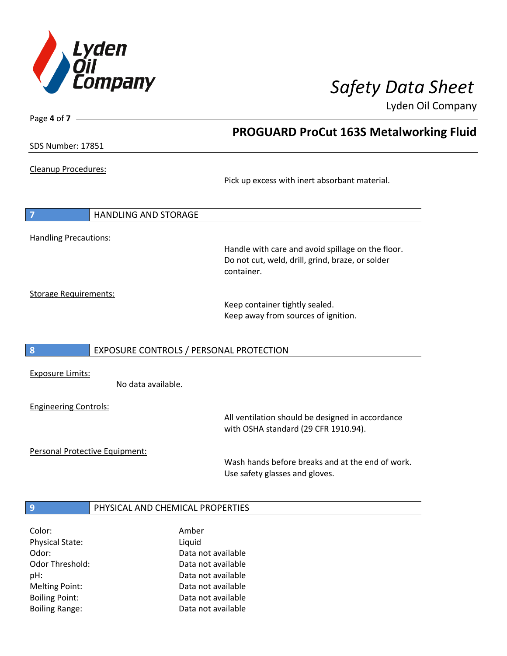

**PROGUARD ProCut 163S Metalworking Fluid**

Lyden Oil Company

SDS Number: 17851

Page **4** of **7**

Cleanup Procedures:

Pick up excess with inert absorbant material.

**7** HANDLING AND STORAGE Handling Precautions:

> Handle with care and avoid spillage on the floor. Do not cut, weld, drill, grind, braze, or solder container.

Storage Requirements:

Keep container tightly sealed. Keep away from sources of ignition.

### **8** EXPOSURE CONTROLS / PERSONAL PROTECTION

Exposure Limits:

No data available.

Engineering Controls:

All ventilation should be designed in accordance with OSHA standard (29 CFR 1910.94).

Personal Protective Equipment:

Wash hands before breaks and at the end of work. Use safety glasses and gloves.

### **9 PHYSICAL AND CHEMICAL PROPERTIES**

| Color:                 | Amber              |
|------------------------|--------------------|
| <b>Physical State:</b> | Liquid             |
| Odor:                  | Data not available |
| Odor Threshold:        | Data not available |
| pH:                    | Data not available |
| <b>Melting Point:</b>  | Data not available |
| <b>Boiling Point:</b>  | Data not available |
| <b>Boiling Range:</b>  | Data not available |
|                        |                    |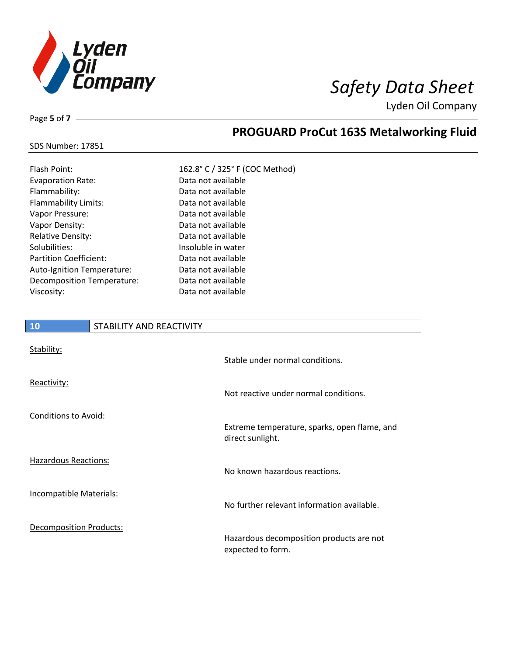

Page **5** of **7**

# **PROGUARD ProCut 163S Metalworking Fluid**

| 162.8° C / 325° F (COC Method) |
|--------------------------------|
| Data not available             |
| Data not available             |
| Data not available             |
| Data not available             |
| Data not available             |
| Data not available             |
| Insoluble in water             |
| Data not available             |
| Data not available             |
| Data not available             |
| Data not available             |
|                                |

# **10** STABILITY AND REACTIVITY Stability: Stable under normal conditions. Reactivity: Not reactive under normal conditions. Conditions to Avoid: Extreme temperature, sparks, open flame, and direct sunlight. Hazardous Reactions: No known hazardous reactions. Incompatible Materials: No further relevant information available. Decomposition Products: Hazardous decomposition products are not expected to form.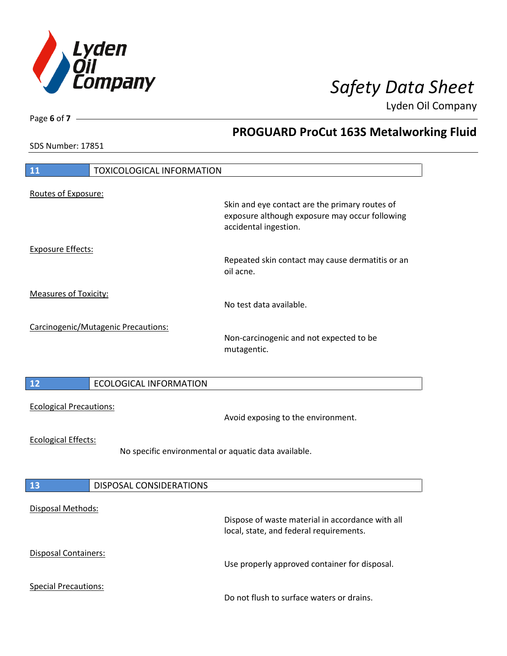

**PROGUARD ProCut 163S Metalworking Fluid**

Lyden Oil Company

SDS Number: 17851

Page **6** of **7**

# **11** TOXICOLOGICAL INFORMATION Routes of Exposure: Skin and eye contact are the primary routes of exposure although exposure may occur following accidental ingestion. Exposure Effects: Repeated skin contact may cause dermatitis or an oil acne. Measures of Toxicity: No test data available. Carcinogenic/Mutagenic Precautions: Non-carcinogenic and not expected to be mutagentic. **12** ECOLOGICAL INFORMATION Ecological Precautions: Avoid exposing to the environment. Ecological Effects: No specific environmental or aquatic data available. **13** DISPOSAL CONSIDERATIONS Disposal Methods: Dispose of waste material in accordance with all local, state, and federal requirements. Disposal Containers: Use properly approved container for disposal. Special Precautions: Do not flush to surface waters or drains.